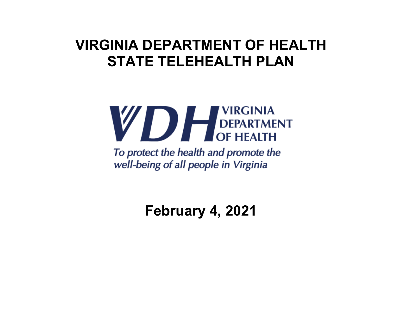

To protect the health and promote the well-being of all people in Virginia

**February 4, 2021**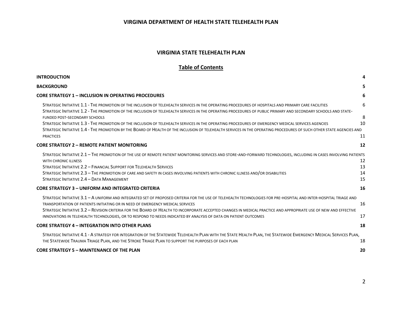#### **VIRGINIA STATE TELEHEALTH PLAN**

#### **Table of Contents**

| <b>INTRODUCTION</b>                                                                                                                                                                                                                                                                                                                                                                                                                                                                                                                           | 4                    |
|-----------------------------------------------------------------------------------------------------------------------------------------------------------------------------------------------------------------------------------------------------------------------------------------------------------------------------------------------------------------------------------------------------------------------------------------------------------------------------------------------------------------------------------------------|----------------------|
| <b>BACKGROUND</b>                                                                                                                                                                                                                                                                                                                                                                                                                                                                                                                             | 5                    |
| <b>CORE STRATEGY 1 - INCLUSION IN OPERATING PROCEDURES</b>                                                                                                                                                                                                                                                                                                                                                                                                                                                                                    | 6                    |
| STRATEGIC INITIATIVE 1.1 - THE PROMOTION OF THE INCLUSION OF TELEHEALTH SERVICES IN THE OPERATING PROCEDURES OF HOSPITALS AND PRIMARY CARE FACILITIES<br>STRATEGIC INITIATIVE 1.2 - THE PROMOTION OF THE INCLUSION OF TELEHEALTH SERVICES IN THE OPERATING PROCEDURES OF PUBLIC PRIMARY AND SECONDARY SCHOOLS AND STATE-                                                                                                                                                                                                                      | 6                    |
| <b>FUNDED POST-SECONDARY SCHOOLS</b><br>STRATEGIC INITIATIVE 1.3 - THE PROMOTION OF THE INCLUSION OF TELEHEALTH SERVICES IN THE OPERATING PROCEDURES OF EMERGENCY MEDICAL SERVICES AGENCIES<br>STRATEGIC INITIATIVE 1.4 - THE PROMOTION BY THE BOARD OF HEALTH OF THE INCLUSION OF TELEHEALTH SERVICES IN THE OPERATING PROCEDURES OF SUCH OTHER STATE AGENCIES AND<br><b>PRACTICES</b>                                                                                                                                                       | 8<br>10<br>11        |
| <b>CORE STRATEGY 2 - REMOTE PATIENT MONITORING</b>                                                                                                                                                                                                                                                                                                                                                                                                                                                                                            | 12                   |
| STRATEGIC INITIATIVE 2.1 - THE PROMOTION OF THE USE OF REMOTE PATIENT MONITORING SERVICES AND STORE-AND-FORWARD TECHNOLOGIES, INCLUDING IN CASES INVOLVING PATIENTS<br><b>WITH CHRONIC ILLNESS</b><br>STRATEGIC INITIATIVE 2.2 - FINANCIAL SUPPORT FOR TELEHEALTH SERVICES<br>STRATEGIC INITIATIVE 2.3 - THE PROMOTION OF CARE AND SAFETY IN CASES INVOLVING PATIENTS WITH CHRONIC ILLNESS AND/OR DISABILITIES<br>STRATEGIC INITIATIVE 2.4 - DATA MANAGEMENT                                                                                  | 12<br>13<br>14<br>15 |
| <b>CORE STRATEGY 3 - UNIFORM AND INTEGRATED CRITERIA</b>                                                                                                                                                                                                                                                                                                                                                                                                                                                                                      | 16                   |
| STRATEGIC INITIATIVE 3.1 - A UNIFORM AND INTEGRATED SET OF PROPOSED CRITERIA FOR THE USE OF TELEHEALTH TECHNOLOGIES FOR PRE-HOSPITAL AND INTER-HOSPITAL TRIAGE AND<br>TRANSPORTATION OF PATIENTS INITIATING OR IN NEED OF EMERGENCY MEDICAL SERVICES<br>STRATEGIC INITIATIVE 3.2 - REVISION CRITERIA FOR THE BOARD OF HEALTH TO INCORPORATE ACCEPTED CHANGES IN MEDICAL PRACTICE AND APPROPRIATE USE OF NEW AND EFFECTIVE<br>INNOVATIONS IN TELEHEALTH TECHNOLOGIES, OR TO RESPOND TO NEEDS INDICATED BY ANALYSIS OF DATA ON PATIENT OUTCOMES | 16<br>17             |
| <b>CORE STRATEGY 4 - INTEGRATION INTO OTHER PLANS</b>                                                                                                                                                                                                                                                                                                                                                                                                                                                                                         | 18                   |
| STRATEGIC INITIATIVE 4.1 - A STRATEGY FOR INTEGRATION OF THE STATEWIDE TELEHEALTH PLAN WITH THE STATE HEALTH PLAN, THE STATEWIDE EMERGENCY MEDICAL SERVICES PLAN,<br>THE STATEWIDE TRAUMA TRIAGE PLAN, AND THE STROKE TRIAGE PLAN TO SUPPORT THE PURPOSES OF EACH PLAN                                                                                                                                                                                                                                                                        | 18                   |
| <b>CORE STRATEGY 5 - MAINTENANCE OF THE PLAN</b>                                                                                                                                                                                                                                                                                                                                                                                                                                                                                              | 20                   |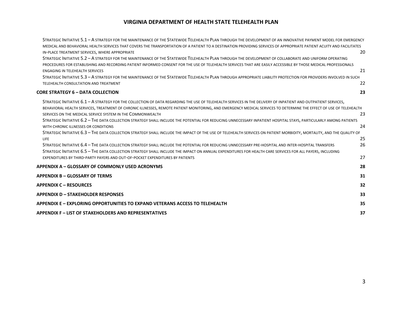| STRATEGIC INITIATIVE 5.1 - A STRATEGY FOR THE MAINTENANCE OF THE STATEWIDE TELEHEALTH PLAN THROUGH THE DEVELOPMENT OF AN INNOVATIVE PAYMENT MODEL FOR EMERGENCY<br>MEDICAL AND BEHAVIORAL HEALTH SERVICES THAT COVERS THE TRANSPORTATION OF A PATIENT TO A DESTINATION PROVIDING SERVICES OF APPROPRIATE PATIENT ACUITY AND FACILITATES                                                                                                                                                                                                                                                                                                                                                                                                                                                                                                                                                                                                                                                                                                                                                                                                                                                                             |                            |
|---------------------------------------------------------------------------------------------------------------------------------------------------------------------------------------------------------------------------------------------------------------------------------------------------------------------------------------------------------------------------------------------------------------------------------------------------------------------------------------------------------------------------------------------------------------------------------------------------------------------------------------------------------------------------------------------------------------------------------------------------------------------------------------------------------------------------------------------------------------------------------------------------------------------------------------------------------------------------------------------------------------------------------------------------------------------------------------------------------------------------------------------------------------------------------------------------------------------|----------------------------|
| IN-PLACE TREATMENT SERVICES, WHERE APPROPRIATE<br>STRATEGIC INITIATIVE 5.2 - A STRATEGY FOR THE MAINTENANCE OF THE STATEWIDE TELEHEALTH PLAN THROUGH THE DEVELOPMENT OF COLLABORATE AND UNIFORM OPERATING<br>PROCEDURES FOR ESTABLISHING AND RECORDING PATIENT INFORMED CONSENT FOR THE USE OF TELEHEALTH SERVICES THAT ARE EASILY ACCESSIBLE BY THOSE MEDICAL PROFESSIONALS                                                                                                                                                                                                                                                                                                                                                                                                                                                                                                                                                                                                                                                                                                                                                                                                                                        | 20                         |
| <b>ENGAGING IN TELEHEALTH SERVICES</b>                                                                                                                                                                                                                                                                                                                                                                                                                                                                                                                                                                                                                                                                                                                                                                                                                                                                                                                                                                                                                                                                                                                                                                              | 21                         |
| STRATEGIC INITIATIVE 5.3 - A STRATEGY FOR THE MAINTENANCE OF THE STATEWIDE TELEHEALTH PLAN THROUGH APPROPRIATE LIABILITY PROTECTION FOR PROVIDERS INVOLVED IN SUCH<br>TELEHEALTH CONSULTATION AND TREATMENT                                                                                                                                                                                                                                                                                                                                                                                                                                                                                                                                                                                                                                                                                                                                                                                                                                                                                                                                                                                                         | 22                         |
| <b>CORE STRATEGY 6 - DATA COLLECTION</b>                                                                                                                                                                                                                                                                                                                                                                                                                                                                                                                                                                                                                                                                                                                                                                                                                                                                                                                                                                                                                                                                                                                                                                            | 23                         |
| STRATEGIC INITIATIVE 6.1 - A STRATEGY FOR THE COLLECTION OF DATA REGARDING THE USE OF TELEHEALTH SERVICES IN THE DELIVERY OF INPATIENT AND OUTPATIENT SERVICES.<br>BEHAVIORAL HEALTH SERVICES, TREATMENT OF CHRONIC ILLNESSES, REMOTE PATIENT MONITORING, AND EMERGENCY MEDICAL SERVICES TO DETERMINE THE EFFECT OF USE OF TELEHEALTH<br>SERVICES ON THE MEDICAL SERVICE SYSTEM IN THE COMMONWEALTH<br>STRATEGIC INITIATIVE 6.2 - THE DATA COLLECTION STRATEGY SHALL INCLUDE THE POTENTIAL FOR REDUCING UNNECESSARY INPATIENT HOSPITAL STAYS, PARTICULARLY AMONG PATIENTS<br>WITH CHRONIC ILLNESSES OR CONDITIONS<br>STRATEGIC INITIATIVE 6.3 - THE DATA COLLECTION STRATEGY SHALL INCLUDE THE IMPACT OF THE USE OF TELEHEALTH SERVICES ON PATIENT MORBIDITY, MORTALITY, AND THE QUALITY OF<br><b>LIFE</b><br>STRATEGIC INITIATIVE 6.4 - THE DATA COLLECTION STRATEGY SHALL INCLUDE THE POTENTIAL FOR REDUCING UNNECESSARY PRE-HOSPITAL AND INTER-HOSPITAL TRANSFERS<br>STRATEGIC INITIATIVE 6.5 - THE DATA COLLECTION STRATEGY SHALL INCLUDE THE IMPACT ON ANNUAL EXPENDITURES FOR HEALTH CARE SERVICES FOR ALL PAYERS, INCLUDING<br>EXPENDITURES BY THIRD-PARTY PAYERS AND OUT-OF-POCKET EXPENDITURES BY PATIENTS | 23<br>24<br>25<br>26<br>27 |
| APPENDIX A - GLOSSARY OF COMMONLY USED ACRONYMS                                                                                                                                                                                                                                                                                                                                                                                                                                                                                                                                                                                                                                                                                                                                                                                                                                                                                                                                                                                                                                                                                                                                                                     | 28                         |
| <b>APPENDIX B - GLOSSARY OF TERMS</b>                                                                                                                                                                                                                                                                                                                                                                                                                                                                                                                                                                                                                                                                                                                                                                                                                                                                                                                                                                                                                                                                                                                                                                               | 31                         |
| <b>APPENDIX C - RESOURCES</b>                                                                                                                                                                                                                                                                                                                                                                                                                                                                                                                                                                                                                                                                                                                                                                                                                                                                                                                                                                                                                                                                                                                                                                                       | 32                         |
| <b>APPENDIX D - STAKEHOLDER RESPONSES</b>                                                                                                                                                                                                                                                                                                                                                                                                                                                                                                                                                                                                                                                                                                                                                                                                                                                                                                                                                                                                                                                                                                                                                                           | 33                         |
| APPENDIX E – EXPLORING OPPORTUNITIES TO EXPAND VETERANS ACCESS TO TELEHEALTH                                                                                                                                                                                                                                                                                                                                                                                                                                                                                                                                                                                                                                                                                                                                                                                                                                                                                                                                                                                                                                                                                                                                        | 35                         |
| <b>APPENDIX F – LIST OF STAKEHOLDERS AND REPRESENTATIVES</b>                                                                                                                                                                                                                                                                                                                                                                                                                                                                                                                                                                                                                                                                                                                                                                                                                                                                                                                                                                                                                                                                                                                                                        | 37                         |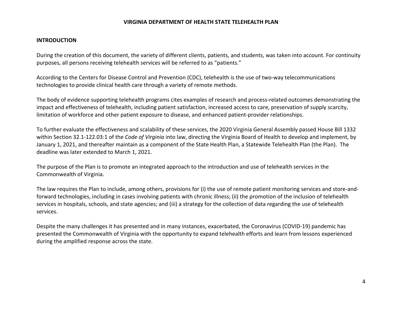#### **INTRODUCTION**

During the creation of this document, the variety of different clients, patients, and students, was taken into account. For continuity purposes, all persons receiving telehealth services will be referred to as "patients."

According to the Centers for Disease Control and Prevention (CDC), telehealth is the use of two‐way telecommunications technologies to provide clinical health care through a variety of remote methods.

The body of evidence supporting telehealth programs cites examples of research and process-related outcomes demonstrating the impact and effectiveness of telehealth, including patient satisfaction, increased access to care, preservation of supply scarcity, limitation of workforce and other patient exposure to disease, and enhanced patient‐provider relationships.

To further evaluate the effectiveness and scalability of these services, the 2020 Virginia General Assembly passed House Bill 1332 within Section 32.1‐122.03:1 of the *Code of Virginia* into law, directing the Virginia Board of Health to develop and implement, by January 1, 2021, and thereafter maintain as a component of the State Health Plan, a Statewide Telehealth Plan (the Plan). The deadline was later extended to March 1, 2021.

The purpose of the Plan is to promote an integrated approach to the introduction and use of telehealth services in the Commonwealth of Virginia.

The law requires the Plan to include, among others, provisions for (i) the use of remote patient monitoring services and store-andforward technologies, including in cases involving patients with chronic illness; (ii) the promotion of the inclusion of telehealth services in hospitals, schools, and state agencies; and (iii) a strategy for the collection of data regarding the use of telehealth services.

Despite the many challenges it has presented and in many instances, exacerbated, the Coronavirus (COVID‐19) pandemic has presented the Commonwealth of Virginia with the opportunity to expand telehealth efforts and learn from lessons experienced during the amplified response across the state.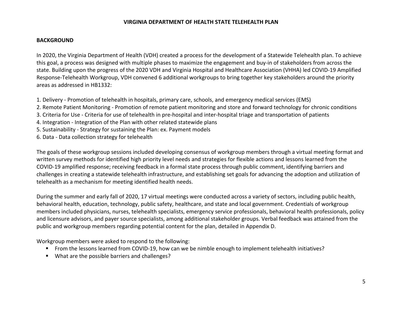#### **BACKGROUND**

In 2020, the Virginia Department of Health (VDH) created a process for the development of a Statewide Telehealth plan. To achieve this goal, a process was designed with multiple phases to maximize the engagement and buy-in of stakeholders from across the state. Building upon the progress of the 2020 VDH and Virginia Hospital and Healthcare Association (VHHA) led COVID‐19 Amplified Response‐Telehealth Workgroup, VDH convened 6 additional workgroups to bring together key stakeholders around the priority areas as addressed in HB1332:

- 1. Delivery ‐ Promotion of telehealth in hospitals, primary care, schools, and emergency medical services (EMS)
- 2. Remote Patient Monitoring ‐ Promotion of remote patient monitoring and store and forward technology for chronic conditions
- 3. Criteria for Use ‐ Criteria for use of telehealth in pre‐hospital and inter‐hospital triage and transportation of patients
- 4. Integration ‐ Integration of the Plan with other related statewide plans
- 5. Sustainability ‐ Strategy for sustaining the Plan: ex. Payment models
- 6. Data ‐ Data collection strategy for telehealth

The goals of these workgroup sessions included developing consensus of workgroup members through a virtual meeting format and written survey methods for identified high priority level needs and strategies for flexible actions and lessons learned from the COVID‐19 amplified response; receiving feedback in a formal state process through public comment, identifying barriers and challenges in creating a statewide telehealth infrastructure, and establishing set goals for advancing the adoption and utilization of telehealth as a mechanism for meeting identified health needs.

During the summer and early fall of 2020, 17 virtual meetings were conducted across a variety of sectors, including public health, behavioral health, education, technology, public safety, healthcare, and state and local government. Credentials of workgroup members included physicians, nurses, telehealth specialists, emergency service professionals, behavioral health professionals, policy and licensure advisors, and payer source specialists, among additional stakeholder groups. Verbal feedback was attained from the public and workgroup members regarding potential content for the plan, detailed in Appendix D.

Workgroup members were asked to respond to the following:

- From the lessons learned from COVID-19, how can we be nimble enough to implement telehealth initiatives?
- What are the possible barriers and challenges?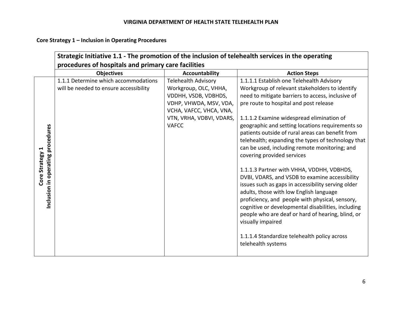**Core Strategy 1 – Inclusion in Operating Procedures** 

|                                                         | Strategic Initiative 1.1 - The promotion of the inclusion of telehealth services in the operating<br>procedures of hospitals and primary care facilities |                                                                                                                                                                              |                                                                                                                                                                                                                                                                                                                                                                                                                                                                                                                                                                                                                                                                                                                                                                                                                                                                                                                                               |
|---------------------------------------------------------|----------------------------------------------------------------------------------------------------------------------------------------------------------|------------------------------------------------------------------------------------------------------------------------------------------------------------------------------|-----------------------------------------------------------------------------------------------------------------------------------------------------------------------------------------------------------------------------------------------------------------------------------------------------------------------------------------------------------------------------------------------------------------------------------------------------------------------------------------------------------------------------------------------------------------------------------------------------------------------------------------------------------------------------------------------------------------------------------------------------------------------------------------------------------------------------------------------------------------------------------------------------------------------------------------------|
|                                                         | <b>Objectives</b>                                                                                                                                        | <b>Accountability</b>                                                                                                                                                        | <b>Action Steps</b>                                                                                                                                                                                                                                                                                                                                                                                                                                                                                                                                                                                                                                                                                                                                                                                                                                                                                                                           |
| Inclusion in operating procedures<br>↤<br>Core Strategy | 1.1.1 Determine which accommodations<br>will be needed to ensure accessibility                                                                           | <b>Telehealth Advisory</b><br>Workgroup, OLC, VHHA,<br>VDDHH, VSDB, VDBHDS,<br>VDHP, VHWDA, MSV, VDA,<br>VCHA, VAFCC, VHCA, VNA,<br>VTN, VRHA, VDBVI, VDARS,<br><b>VAFCC</b> | 1.1.1.1 Establish one Telehealth Advisory<br>Workgroup of relevant stakeholders to identify<br>need to mitigate barriers to access, inclusive of<br>pre route to hospital and post release<br>1.1.1.2 Examine widespread elimination of<br>geographic and setting locations requirements so<br>patients outside of rural areas can benefit from<br>telehealth; expanding the types of technology that<br>can be used, including remote monitoring; and<br>covering provided services<br>1.1.1.3 Partner with VHHA, VDDHH, VDBHDS,<br>DVBI, VDARS, and VSDB to examine accessibility<br>issues such as gaps in accessibility serving older<br>adults, those with low English language<br>proficiency, and people with physical, sensory,<br>cognitive or developmental disabilities, including<br>people who are deaf or hard of hearing, blind, or<br>visually impaired<br>1.1.1.4 Standardize telehealth policy across<br>telehealth systems |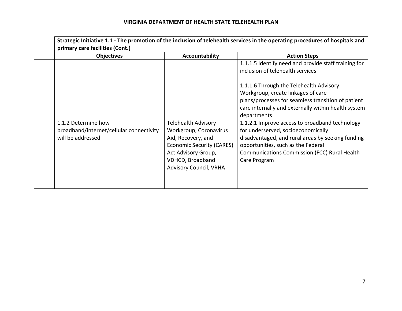| <b>Objectives</b>                                                                    | Accountability                                                                                                                                                                             | <b>Action Steps</b>                                                                                                                                                                                                                                    |
|--------------------------------------------------------------------------------------|--------------------------------------------------------------------------------------------------------------------------------------------------------------------------------------------|--------------------------------------------------------------------------------------------------------------------------------------------------------------------------------------------------------------------------------------------------------|
|                                                                                      |                                                                                                                                                                                            | 1.1.1.5 Identify need and provide staff training for<br>inclusion of telehealth services                                                                                                                                                               |
|                                                                                      |                                                                                                                                                                                            | 1.1.1.6 Through the Telehealth Advisory<br>Workgroup, create linkages of care                                                                                                                                                                          |
|                                                                                      |                                                                                                                                                                                            | plans/processes for seamless transition of patient<br>care internally and externally within health system<br>departments                                                                                                                               |
| 1.1.2 Determine how<br>broadband/internet/cellular connectivity<br>will be addressed | <b>Telehealth Advisory</b><br>Workgroup, Coronavirus<br>Aid, Recovery, and<br><b>Economic Security (CARES)</b><br>Act Advisory Group,<br>VDHCD, Broadband<br><b>Advisory Council, VRHA</b> | 1.1.2.1 Improve access to broadband technology<br>for underserved, socioeconomically<br>disadvantaged, and rural areas by seeking funding<br>opportunities, such as the Federal<br><b>Communications Commission (FCC) Rural Health</b><br>Care Program |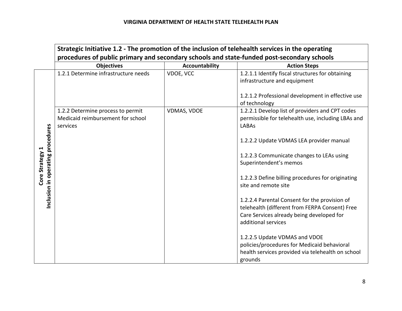|                                                      | Strategic Initiative 1.2 - The promotion of the inclusion of telehealth services in the operating<br>procedures of public primary and secondary schools and state-funded post-secondary schools |                       |                                                                                                                                                                     |
|------------------------------------------------------|-------------------------------------------------------------------------------------------------------------------------------------------------------------------------------------------------|-----------------------|---------------------------------------------------------------------------------------------------------------------------------------------------------------------|
|                                                      | <b>Objectives</b>                                                                                                                                                                               | <b>Accountability</b> | <b>Action Steps</b>                                                                                                                                                 |
|                                                      | 1.2.1 Determine infrastructure needs                                                                                                                                                            | VDOE, VCC             | 1.2.1.1 Identify fiscal structures for obtaining<br>infrastructure and equipment                                                                                    |
|                                                      |                                                                                                                                                                                                 |                       | 1.2.1.2 Professional development in effective use<br>of technology                                                                                                  |
|                                                      | 1.2.2 Determine process to permit<br>Medicaid reimbursement for school<br>services                                                                                                              | VDMAS, VDOE           | 1.2.2.1 Develop list of providers and CPT codes<br>permissible for telehealth use, including LBAs and<br><b>LABAs</b>                                               |
|                                                      |                                                                                                                                                                                                 |                       | 1.2.2.2 Update VDMAS LEA provider manual                                                                                                                            |
| Inclusion in operating procedures<br>Core Strategy 1 |                                                                                                                                                                                                 |                       | 1.2.2.3 Communicate changes to LEAs using<br>Superintendent's memos                                                                                                 |
|                                                      |                                                                                                                                                                                                 |                       | 1.2.2.3 Define billing procedures for originating<br>site and remote site                                                                                           |
|                                                      |                                                                                                                                                                                                 |                       | 1.2.2.4 Parental Consent for the provision of<br>telehealth (different from FERPA Consent) Free<br>Care Services already being developed for<br>additional services |
|                                                      |                                                                                                                                                                                                 |                       | 1.2.2.5 Update VDMAS and VDOE<br>policies/procedures for Medicaid behavioral<br>health services provided via telehealth on school<br>grounds                        |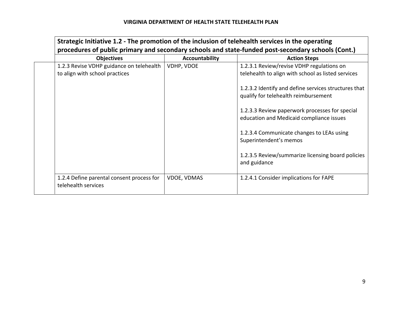| <b>Objectives</b>                                                          | Accountability     | <b>Action Steps</b>                                                                             |
|----------------------------------------------------------------------------|--------------------|-------------------------------------------------------------------------------------------------|
| 1.2.3 Revise VDHP guidance on telehealth<br>to align with school practices | VDHP, VDOE         | 1.2.3.1 Review/revise VDHP regulations on<br>telehealth to align with school as listed services |
|                                                                            |                    | 1.2.3.2 Identify and define services structures that<br>qualify for telehealth reimbursement    |
|                                                                            |                    | 1.2.3.3 Review paperwork processes for special<br>education and Medicaid compliance issues      |
|                                                                            |                    | 1.2.3.4 Communicate changes to LEAs using<br>Superintendent's memos                             |
|                                                                            |                    | 1.2.3.5 Review/summarize licensing board policies<br>and guidance                               |
| 1.2.4 Define parental consent process for                                  | <b>VDOE, VDMAS</b> | 1.2.4.1 Consider implications for FAPE                                                          |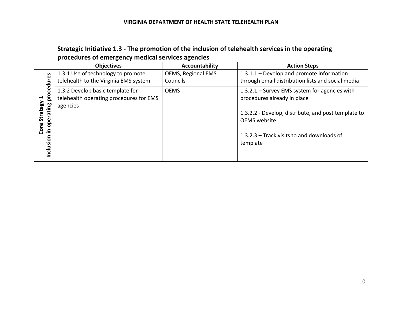|                                                                                            | Strategic Initiative 1.3 - The promotion of the inclusion of telehealth services in the operating<br>procedures of emergency medical services agencies |                                       |                                                                                                                                                                                                                        |
|--------------------------------------------------------------------------------------------|--------------------------------------------------------------------------------------------------------------------------------------------------------|---------------------------------------|------------------------------------------------------------------------------------------------------------------------------------------------------------------------------------------------------------------------|
|                                                                                            | <b>Objectives</b>                                                                                                                                      | Accountability                        | <b>Action Steps</b>                                                                                                                                                                                                    |
| ocedures                                                                                   | 1.3.1 Use of technology to promote<br>telehealth to the Virginia EMS system                                                                            | <b>OEMS, Regional EMS</b><br>Councils | 1.3.1.1 – Develop and promote information<br>through email distribution lists and social media                                                                                                                         |
| $\bar{\mathsf{b}}$<br>$\blacktriangleleft$<br>Core Strategy<br>operating<br>크.<br>Inclusio | 1.3.2 Develop basic template for<br>telehealth operating procedures for EMS<br>agencies                                                                | <b>OEMS</b>                           | $1.3.2.1$ – Survey EMS system for agencies with<br>procedures already in place<br>1.3.2.2 - Develop, distribute, and post template to<br><b>OEMS</b> website<br>1.3.2.3 – Track visits to and downloads of<br>template |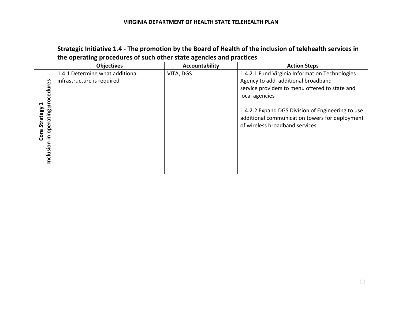|                                                                    | Strategic Initiative 1.4 - The promotion by the Board of Health of the inclusion of telehealth services in<br>the operating procedures of such other state agencies and practices |                |                                                                                                                                                                                                                                                                                                   |
|--------------------------------------------------------------------|-----------------------------------------------------------------------------------------------------------------------------------------------------------------------------------|----------------|---------------------------------------------------------------------------------------------------------------------------------------------------------------------------------------------------------------------------------------------------------------------------------------------------|
|                                                                    | <b>Objectives</b>                                                                                                                                                                 | Accountability | <b>Action Steps</b>                                                                                                                                                                                                                                                                               |
| res<br>cedu<br>pro<br>Core Strategy<br>operating<br>크.<br>nclusion | 1.4.1 Determine what additional<br>infrastructure is required                                                                                                                     | VITA, DGS      | 1.4.2.1 Fund Virginia Information Technologies<br>Agency to add additional broadband<br>service providers to menu offered to state and<br>local agencies<br>1.4.2.2 Expand DGS Division of Engineering to use<br>additional communication towers for deployment<br>of wireless broadband services |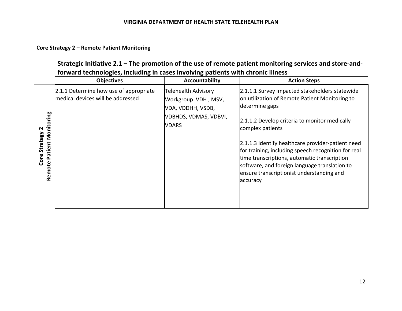# **Core Strategy 2 – Remote Patient Monitoring**

|                                            | forward technologies, including in cases involving patients with chronic illness |                                                                 | Strategic Initiative 2.1 – The promotion of the use of remote patient monitoring services and store-and-                                                                                                                                                           |
|--------------------------------------------|----------------------------------------------------------------------------------|-----------------------------------------------------------------|--------------------------------------------------------------------------------------------------------------------------------------------------------------------------------------------------------------------------------------------------------------------|
|                                            | <b>Objectives</b>                                                                | Accountability                                                  | <b>Action Steps</b>                                                                                                                                                                                                                                                |
|                                            | 2.1.1 Determine how use of appropriate<br>medical devices will be addressed      | Telehealth Advisory<br>Workgroup VDH, MSV,<br>VDA, VDDHH, VSDB, | 2.1.1.1 Survey impacted stakeholders statewide<br>on utilization of Remote Patient Monitoring to<br>determine gaps                                                                                                                                                 |
| N                                          |                                                                                  | VDBHDS, VDMAS, VDBVI,<br><b>VDARS</b>                           | 2.1.1.2 Develop criteria to monitor medically<br>complex patients                                                                                                                                                                                                  |
| Remote Patient Monitoring<br>Core Strategy |                                                                                  |                                                                 | 2.1.1.3 Identify healthcare provider-patient need<br>for training, including speech recognition for real<br>time transcriptions, automatic transcription<br>software, and foreign language translation to<br>ensure transcriptionist understanding and<br>accuracy |
|                                            |                                                                                  |                                                                 |                                                                                                                                                                                                                                                                    |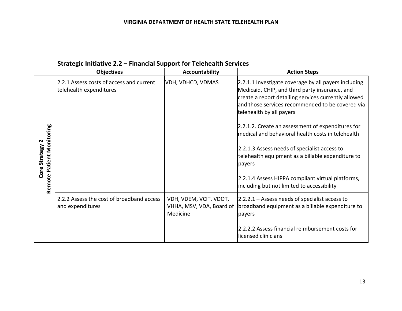|                                            | Strategic Initiative 2.2 - Financial Support for Telehealth Services |                                                                |                                                                                                                                                                                                                                                |
|--------------------------------------------|----------------------------------------------------------------------|----------------------------------------------------------------|------------------------------------------------------------------------------------------------------------------------------------------------------------------------------------------------------------------------------------------------|
|                                            | <b>Objectives</b>                                                    | <b>Accountability</b>                                          | <b>Action Steps</b>                                                                                                                                                                                                                            |
|                                            | 2.2.1 Assess costs of access and current<br>telehealth expenditures  | VDH, VDHCD, VDMAS                                              | 2.2.1.1 Investigate coverage by all payers including<br>Medicaid, CHIP, and third party insurance, and<br>create a report detailing services currently allowed<br>and those services recommended to be covered via<br>telehealth by all payers |
|                                            |                                                                      |                                                                | 2.2.1.2. Create an assessment of expenditures for<br>medical and behavioral health costs in telehealth                                                                                                                                         |
| Remote Patient Monitoring<br>Core Strategy |                                                                      |                                                                | 2.2.1.3 Assess needs of specialist access to<br>telehealth equipment as a billable expenditure to<br>payers                                                                                                                                    |
|                                            |                                                                      |                                                                | 2.2.1.4 Assess HIPPA compliant virtual platforms,<br>including but not limited to accessibility                                                                                                                                                |
|                                            | 2.2.2 Assess the cost of broadband access<br>and expenditures        | VDH, VDEM, VCIT, VDOT,<br>VHHA, MSV, VDA, Board of<br>Medicine | $[2.2.2.1 - Assess needs of specialist access to$<br>broadband equipment as a billable expenditure to<br>payers                                                                                                                                |
|                                            |                                                                      |                                                                | 2.2.2.2 Assess financial reimbursement costs for<br>licensed clinicians                                                                                                                                                                        |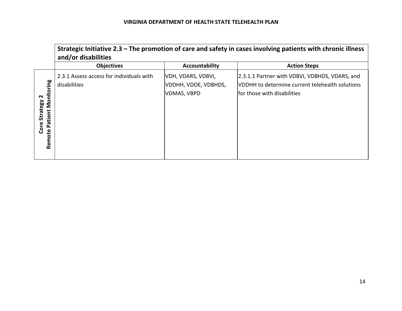|                                                                        | and/or disabilities                                      |                                                                  | Strategic Initiative $2.3$ – The promotion of care and safety in cases involving patients with chronic illness                    |
|------------------------------------------------------------------------|----------------------------------------------------------|------------------------------------------------------------------|-----------------------------------------------------------------------------------------------------------------------------------|
|                                                                        | <b>Objectives</b>                                        | Accountability                                                   | <b>Action Steps</b>                                                                                                               |
| nitoring<br>$\mathbf{\Omega}$<br>Patient Mo<br>Core Strategy<br>Remote | 2.3.1 Assess access for individuals with<br>disabilities | VDH, VDARS, VDBVI,<br>VDDHH, VDOE, VDBHDS,<br><b>VDMAS, VBPD</b> | 2.3.1.1 Partner with VDBVI, VDBHDS, VDARS, and<br>VDDHH to determine current telehealth solutions<br>lfor those with disabilities |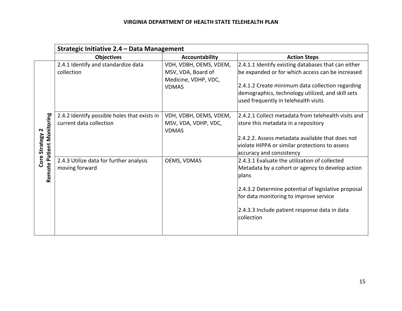|                                              | Strategic Initiative 2.4 - Data Management                              |                                                                                      |                                                                                                                                                                                                                                                                            |
|----------------------------------------------|-------------------------------------------------------------------------|--------------------------------------------------------------------------------------|----------------------------------------------------------------------------------------------------------------------------------------------------------------------------------------------------------------------------------------------------------------------------|
|                                              | <b>Objectives</b>                                                       | <b>Accountability</b>                                                                | <b>Action Steps</b>                                                                                                                                                                                                                                                        |
|                                              | 2.4.1 Identify and standardize data<br>collection                       | VDH, VDBH, OEMS, VDEM,<br>MSV, VDA, Board of<br>Medicine, VDHP, VDC,<br><b>VDMAS</b> | 2.4.1.1 Identify existing databases that can either<br>be expanded or for which access can be increased<br>2.4.1.2 Create minimum data collection regarding<br>demographics, technology utilized, and skill sets<br>used frequently in telehealth visits                   |
| Remote Patient Monitoring<br>Core Strategy 2 | 2.4.2 Identify possible holes that exists in<br>current data collection | VDH, VDBH, OEMS, VDEM,<br>MSV, VDA, VDHP, VDC,<br><b>VDMAS</b>                       | 2.4.2.1 Collect metadata from telehealth visits and<br>store this metadata in a repository<br>2.4.2.2. Assess metadata available that does not<br>violate HIPPA or similar protections to assess<br>accuracy and consistency                                               |
|                                              | 2.4.3 Utilize data for further analysis<br>moving forward               | OEMS, VDMAS                                                                          | 2.4.3.1 Evaluate the utilization of collected<br>Metadata by a cohort or agency to develop action<br>plans<br>2.4.3.2 Determine potential of legislative proposal<br>for data monitoring to improve service<br>2.4.3.3 Include patient response data in data<br>collection |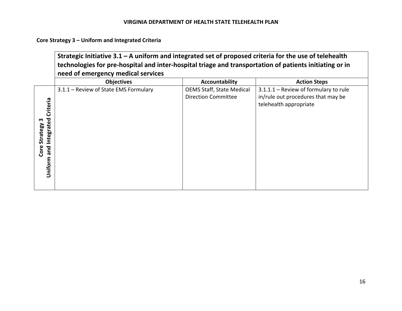**Core Strategy 3 – Uniform and Integrated Criteria** 

|                                                          | Strategic Initiative $3.1 - A$ uniform and integrated set of proposed criteria for the use of telehealth<br>technologies for pre-hospital and inter-hospital triage and transportation of patients initiating or in |                                                         |                                                                                                       |
|----------------------------------------------------------|---------------------------------------------------------------------------------------------------------------------------------------------------------------------------------------------------------------------|---------------------------------------------------------|-------------------------------------------------------------------------------------------------------|
|                                                          | need of emergency medical services                                                                                                                                                                                  |                                                         |                                                                                                       |
|                                                          | <b>Objectives</b>                                                                                                                                                                                                   | <b>Accountability</b>                                   | <b>Action Steps</b>                                                                                   |
| Criteria<br>and Integrated<br>Core Strategy 3<br>Uniform | 3.1.1 - Review of State EMS Formulary                                                                                                                                                                               | <b>OEMS Staff, State Medical</b><br>Direction Committee | 3.1.1.1 - Review of formulary to rule<br>in/rule out procedures that may be<br>telehealth appropriate |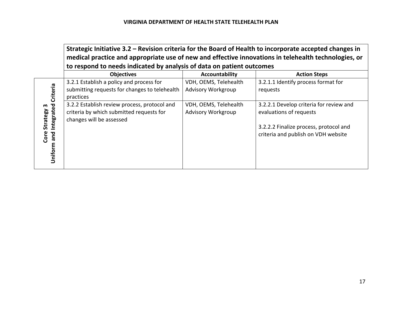|                          | Strategic Initiative 3.2 – Revision criteria for the Board of Health to incorporate accepted changes in<br>medical practice and appropriate use of new and effective innovations in telehealth technologies, or |                                             |                                                                               |
|--------------------------|-----------------------------------------------------------------------------------------------------------------------------------------------------------------------------------------------------------------|---------------------------------------------|-------------------------------------------------------------------------------|
|                          | to respond to needs indicated by analysis of data on patient outcomes                                                                                                                                           |                                             |                                                                               |
|                          | <b>Objectives</b>                                                                                                                                                                                               | Accountability                              | <b>Action Steps</b>                                                           |
| Criteria                 | 3.2.1 Establish a policy and process for<br>submitting requests for changes to telehealth<br>practices                                                                                                          | VDH, OEMS, Telehealth<br>Advisory Workgroup | 3.2.1.1 Identify process format for<br>requests                               |
| Integrated<br>Strategy 3 | 3.2.2 Establish review process, protocol and<br>criteria by which submitted requests for<br>changes will be assessed                                                                                            | VDH, OEMS, Telehealth<br>Advisory Workgroup | 3.2.2.1 Develop criteria for review and<br>evaluations of requests            |
| Core<br>and<br>Uniform   |                                                                                                                                                                                                                 |                                             | 3.2.2.2 Finalize process, protocol and<br>criteria and publish on VDH website |
|                          |                                                                                                                                                                                                                 |                                             |                                                                               |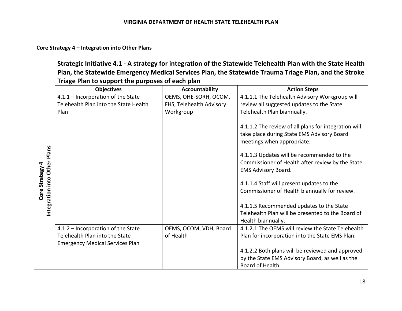# **Core Strategy 4 – Integration into Other Plans**

|                              | Triage Plan to support the purposes of each plan                                                               |                                                                | Strategic Initiative 4.1 - A strategy for integration of the Statewide Telehealth Plan with the State Health<br>Plan, the Statewide Emergency Medical Services Plan, the Statewide Trauma Triage Plan, and the Stroke |
|------------------------------|----------------------------------------------------------------------------------------------------------------|----------------------------------------------------------------|-----------------------------------------------------------------------------------------------------------------------------------------------------------------------------------------------------------------------|
|                              | <b>Objectives</b>                                                                                              | <b>Accountability</b>                                          | <b>Action Steps</b>                                                                                                                                                                                                   |
|                              | 4.1.1 - Incorporation of the State<br>Telehealth Plan into the State Health<br>Plan                            | OEMS, OHE-SORH, OCOM,<br>FHS, Telehealth Advisory<br>Workgroup | 4.1.1.1 The Telehealth Advisory Workgroup will<br>review all suggested updates to the State<br>Telehealth Plan biannually.                                                                                            |
|                              |                                                                                                                |                                                                | 4.1.1.2 The review of all plans for integration will<br>take place during State EMS Advisory Board<br>meetings when appropriate.                                                                                      |
| Integration into Other Plans |                                                                                                                |                                                                | 4.1.1.3 Updates will be recommended to the<br>Commissioner of Health after review by the State<br><b>EMS Advisory Board.</b>                                                                                          |
| Core Strategy 4              |                                                                                                                |                                                                | 4.1.1.4 Staff will present updates to the<br>Commissioner of Health biannually for review.                                                                                                                            |
|                              |                                                                                                                |                                                                | 4.1.1.5 Recommended updates to the State<br>Telehealth Plan will be presented to the Board of<br>Health biannually.                                                                                                   |
|                              | 4.1.2 - Incorporation of the State<br>Telehealth Plan into the State<br><b>Emergency Medical Services Plan</b> | OEMS, OCOM, VDH, Board<br>of Health                            | 4.1.2.1 The OEMS will review the State Telehealth<br>Plan for incorporation into the State EMS Plan.                                                                                                                  |
|                              |                                                                                                                |                                                                | 4.1.2.2 Both plans will be reviewed and approved<br>by the State EMS Advisory Board, as well as the<br>Board of Health.                                                                                               |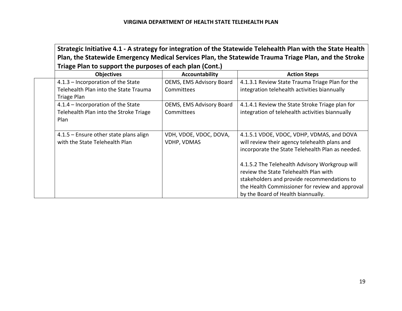| Strategic Initiative 4.1 - A strategy for integration of the Statewide Telehealth Plan with the State Health<br>Plan, the Statewide Emergency Medical Services Plan, the Statewide Trauma Triage Plan, and the Stroke |                                 |                                                  |
|-----------------------------------------------------------------------------------------------------------------------------------------------------------------------------------------------------------------------|---------------------------------|--------------------------------------------------|
| Triage Plan to support the purposes of each plan (Cont.)                                                                                                                                                              |                                 |                                                  |
| <b>Objectives</b>                                                                                                                                                                                                     | Accountability                  | <b>Action Steps</b>                              |
| 4.1.3 - Incorporation of the State                                                                                                                                                                                    | OEMS, EMS Advisory Board        | 4.1.3.1 Review State Trauma Triage Plan for the  |
| Telehealth Plan into the State Trauma<br>Triage Plan                                                                                                                                                                  | <b>Committees</b>               | integration telehealth activities biannually     |
| 4.1.4 – Incorporation of the State                                                                                                                                                                                    | <b>OEMS, EMS Advisory Board</b> | 4.1.4.1 Review the State Stroke Triage plan for  |
| Telehealth Plan into the Stroke Triage                                                                                                                                                                                | Committees                      | integration of telehealth activities biannually  |
| Plan                                                                                                                                                                                                                  |                                 |                                                  |
| 4.1.5 - Ensure other state plans align                                                                                                                                                                                | VDH, VDOE, VDOC, DOVA,          | 4.1.5.1 VDOE, VDOC, VDHP, VDMAS, and DOVA        |
| with the State Telehealth Plan                                                                                                                                                                                        | <b>VDHP, VDMAS</b>              | will review their agency telehealth plans and    |
|                                                                                                                                                                                                                       |                                 | incorporate the State Telehealth Plan as needed. |
|                                                                                                                                                                                                                       |                                 | 4.1.5.2 The Telehealth Advisory Workgroup will   |
|                                                                                                                                                                                                                       |                                 | review the State Telehealth Plan with            |
|                                                                                                                                                                                                                       |                                 | stakeholders and provide recommendations to      |
|                                                                                                                                                                                                                       |                                 | the Health Commissioner for review and approval  |
|                                                                                                                                                                                                                       |                                 | by the Board of Health biannually.               |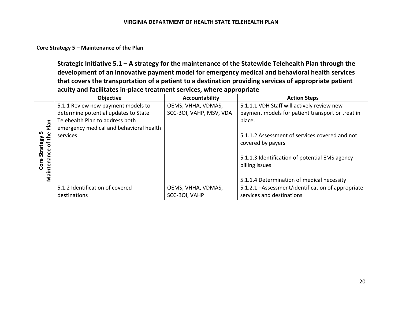# **Core Strategy 5 – Maintenance of the Plan**

|                    | Strategic Initiative $5.1 - A$ strategy for the maintenance of the Statewide Telehealth Plan through the<br>development of an innovative payment model for emergency medical and behavioral health services<br>that covers the transportation of a patient to a destination providing services of appropriate patient |                         |                                                    |
|--------------------|-----------------------------------------------------------------------------------------------------------------------------------------------------------------------------------------------------------------------------------------------------------------------------------------------------------------------|-------------------------|----------------------------------------------------|
|                    | acuity and facilitates in-place treatment services, where appropriate                                                                                                                                                                                                                                                 |                         |                                                    |
|                    | <b>Objective</b>                                                                                                                                                                                                                                                                                                      | Accountability          | <b>Action Steps</b>                                |
|                    | 5.1.1 Review new payment models to                                                                                                                                                                                                                                                                                    | OEMS, VHHA, VDMAS,      | 5.1.1.1 VDH Staff will actively review new         |
|                    | determine potential updates to State                                                                                                                                                                                                                                                                                  | SCC-BOI, VAHP, MSV, VDA | payment models for patient transport or treat in   |
|                    | Telehealth Plan to address both                                                                                                                                                                                                                                                                                       |                         | place.                                             |
| Plan               | emergency medical and behavioral health                                                                                                                                                                                                                                                                               |                         |                                                    |
|                    | services                                                                                                                                                                                                                                                                                                              |                         | 5.1.1.2 Assessment of services covered and not     |
| Strategy 5         |                                                                                                                                                                                                                                                                                                                       |                         | covered by payers                                  |
|                    |                                                                                                                                                                                                                                                                                                                       |                         |                                                    |
| Maintenance of the |                                                                                                                                                                                                                                                                                                                       |                         | 5.1.1.3 Identification of potential EMS agency     |
| Core:              |                                                                                                                                                                                                                                                                                                                       |                         | billing issues                                     |
|                    |                                                                                                                                                                                                                                                                                                                       |                         |                                                    |
|                    |                                                                                                                                                                                                                                                                                                                       |                         | 5.1.1.4 Determination of medical necessity         |
|                    | 5.1.2 Identification of covered                                                                                                                                                                                                                                                                                       | OEMS, VHHA, VDMAS,      | 5.1.2.1 - Assessment/identification of appropriate |
|                    | destinations                                                                                                                                                                                                                                                                                                          | SCC-BOI, VAHP           | services and destinations                          |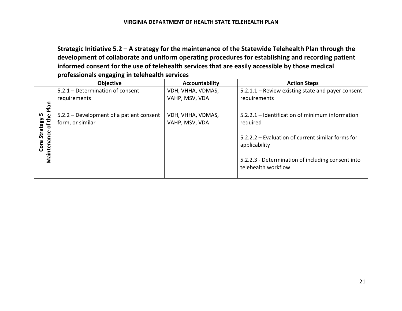**Strategic Initiative 5.2 – A strategy for the maintenance of the Statewide Telehealth Plan through the development of collaborate and uniform operating procedures for establishing and recording patient informed consent for the use of telehealth services that are easily accessible by those medical professionals engaging in telehealth services** 

|                  | <b>Objective</b>                         | Accountability    | <b>Action Steps</b>                               |
|------------------|------------------------------------------|-------------------|---------------------------------------------------|
|                  | 5.2.1 - Determination of consent         | VDH, VHHA, VDMAS, | 5.2.1.1 - Review existing state and payer consent |
|                  | requirements                             | VAHP, MSV, VDA    | requirements                                      |
| Plan             |                                          |                   |                                                   |
| LN.              | 5.2.2 – Development of a patient consent | VDH, VHHA, VDMAS, | 5.2.2.1 – Identification of minimum information   |
| of the           | form, or similar                         | VAHP, MSV, VDA    | required                                          |
| Strategy         |                                          |                   |                                                   |
| nce              |                                          |                   | 5.2.2.2 – Evaluation of current similar forms for |
| Maintena<br>Core |                                          |                   | applicability                                     |
|                  |                                          |                   |                                                   |
|                  |                                          |                   | 5.2.2.3 - Determination of including consent into |
|                  |                                          |                   | telehealth workflow                               |
|                  |                                          |                   |                                                   |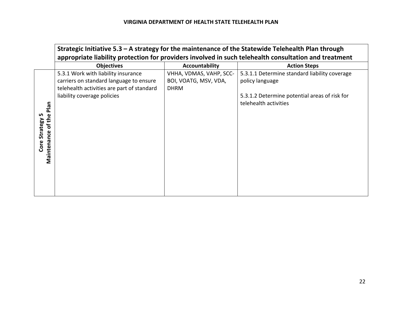|                            | Strategic Initiative $5.3 - A$ strategy for the maintenance of the Statewide Telehealth Plan through<br>appropriate liability protection for providers involved in such telehealth consultation and treatment |                                                                 |                                                                        |
|----------------------------|---------------------------------------------------------------------------------------------------------------------------------------------------------------------------------------------------------------|-----------------------------------------------------------------|------------------------------------------------------------------------|
|                            | <b>Objectives</b>                                                                                                                                                                                             | Accountability                                                  | <b>Action Steps</b>                                                    |
|                            | 5.3.1 Work with liability insurance<br>carriers on standard language to ensure<br>telehealth activities are part of standard                                                                                  | VHHA, VDMAS, VAHP, SCC-<br>BOI, VOATG, MSV, VDA,<br><b>DHRM</b> | 5.3.1.1 Determine standard liability coverage<br>policy language       |
| Plan<br>of the<br>Strategy | liability coverage policies                                                                                                                                                                                   |                                                                 | 5.3.1.2 Determine potential areas of risk for<br>telehealth activities |
| Maintenance<br>Core        |                                                                                                                                                                                                               |                                                                 |                                                                        |
|                            |                                                                                                                                                                                                               |                                                                 |                                                                        |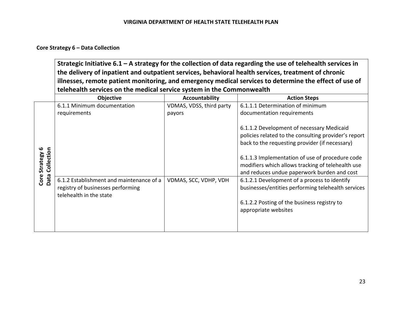# **Core Strategy 6 – Data Collection**

| Strategic Initiative 6.1 – A strategy for the collection of data regarding the use of telehealth services in |
|--------------------------------------------------------------------------------------------------------------|
| $\vert$ the delivery of inpatient and outpatient services, behavioral health services, treatment of chronic  |
| lillnesses, remote patient monitoring, and emergency medical services to determine the effect of use of      |
| telehealth services on the medical service system in the Commonwealth                                        |

|                                                    | <b>Objective</b>                                                                                         | Accountability           | <b>Action Steps</b>                                                                                                                                                                                                                                                                                                                                                                                                                                                                     |
|----------------------------------------------------|----------------------------------------------------------------------------------------------------------|--------------------------|-----------------------------------------------------------------------------------------------------------------------------------------------------------------------------------------------------------------------------------------------------------------------------------------------------------------------------------------------------------------------------------------------------------------------------------------------------------------------------------------|
|                                                    | 6.1.1 Minimum documentation                                                                              | VDMAS, VDSS, third party | 6.1.1.1 Determination of minimum                                                                                                                                                                                                                                                                                                                                                                                                                                                        |
|                                                    | requirements                                                                                             | payors                   | documentation requirements                                                                                                                                                                                                                                                                                                                                                                                                                                                              |
| ဖ<br>Collection<br><b>Strategy</b><br>Core<br>Data | 6.1.2 Establishment and maintenance of a<br>registry of businesses performing<br>telehealth in the state | VDMAS, SCC, VDHP, VDH    | 6.1.1.2 Development of necessary Medicaid<br>policies related to the consulting provider's report<br>back to the requesting provider (if necessary)<br>6.1.1.3 Implementation of use of procedure code<br>modifiers which allows tracking of telehealth use<br>and reduces undue paperwork burden and cost<br>6.1.2.1 Development of a process to identify<br>businesses/entities performing telehealth services<br>6.1.2.2 Posting of the business registry to<br>appropriate websites |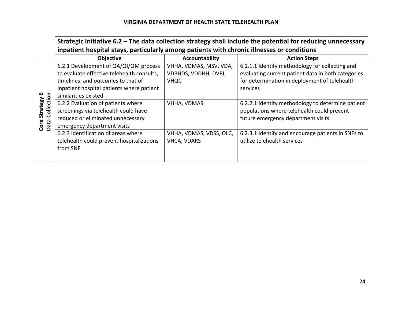|                                        | Strategic Initiative 6.2 - The data collection strategy shall include the potential for reducing unnecessary<br>inpatient hospital stays, particularly among patients with chronic illnesses or conditions |                                                        |                                                                                                                                                                    |
|----------------------------------------|------------------------------------------------------------------------------------------------------------------------------------------------------------------------------------------------------------|--------------------------------------------------------|--------------------------------------------------------------------------------------------------------------------------------------------------------------------|
|                                        | <b>Objective</b>                                                                                                                                                                                           | Accountability                                         | <b>Action Steps</b>                                                                                                                                                |
|                                        | 6.2.1 Development of QA/QI/QM process<br>to evaluate effective telehealth consults,<br>timelines, and outcomes to that of<br>inpatient hospital patients where patient<br>similarities existed             | VHHA, VDMAS, MSV, VDA,<br>VDBHDS, VDDHH, DVBI,<br>VHQC | 6.2.1.1 Identify methodology for collecting and<br>evaluating current patient data in both categories<br>for determination in deployment of telehealth<br>services |
| Collection<br>Strategy<br>Data<br>Core | 6.2.2 Evaluation of patients where<br>screenings via telehealth could have<br>reduced or eliminated unnecessary<br>emergency department visits                                                             | VHHA, VDMAS                                            | 6.2.2.1 Identify methodology to determine patient<br>populations where telehealth could prevent<br>future emergency department visits                              |
|                                        | 6.2.3 Identification of areas where<br>telehealth could prevent hospitalizations<br>from SNF                                                                                                               | VHHA, VDMAS, VDSS, OLC,<br><b>VHCA, VDARS</b>          | 6.2.3.1 Identify and encourage patients in SNFs to<br>utilize telehealth services                                                                                  |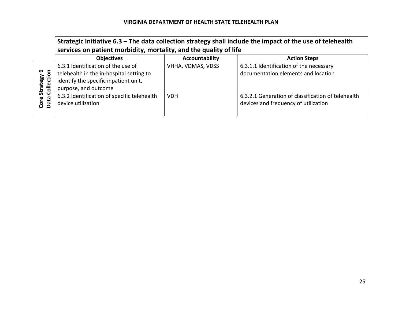|                             | Strategic Initiative $6.3$ – The data collection strategy shall include the impact of the use of telehealth<br>services on patient morbidity, mortality, and the quality of life |                       |                                                                                            |
|-----------------------------|----------------------------------------------------------------------------------------------------------------------------------------------------------------------------------|-----------------------|--------------------------------------------------------------------------------------------|
|                             | <b>Objectives</b>                                                                                                                                                                | <b>Accountability</b> | <b>Action Steps</b>                                                                        |
| ڡ<br>Collection<br>Strategy | 6.3.1 Identification of the use of<br>telehealth in the in-hospital setting to<br>identify the specific inpatient unit,<br>purpose, and outcome                                  | VHHA, VDMAS, VDSS     | 6.3.1.1 Identification of the necessary<br>documentation elements and location             |
| Data<br>Core                | 6.3.2 Identification of specific telehealth<br>device utilization                                                                                                                | <b>VDH</b>            | 6.3.2.1 Generation of classification of telehealth<br>devices and frequency of utilization |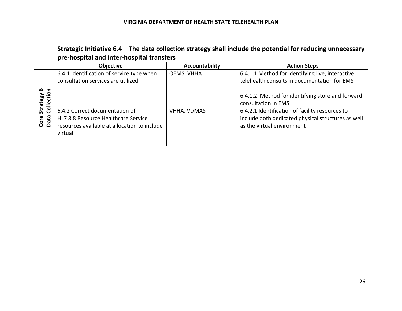|                             | Strategic Initiative 6.4 - The data collection strategy shall include the potential for reducing unnecessary<br>pre-hospital and inter-hospital transfers |                    |                                                                                                                                                                              |
|-----------------------------|-----------------------------------------------------------------------------------------------------------------------------------------------------------|--------------------|------------------------------------------------------------------------------------------------------------------------------------------------------------------------------|
|                             | <b>Objective</b>                                                                                                                                          | Accountability     | <b>Action Steps</b>                                                                                                                                                          |
| ڡ<br>Collection<br>Strategy | 6.4.1 Identification of service type when<br>consultation services are utilized                                                                           | OEMS, VHHA         | 6.4.1.1 Method for identifying live, interactive<br>telehealth consults in documentation for EMS<br>6.4.1.2. Method for identifying store and forward<br>consultation in EMS |
| Core<br>Data                | 6.4.2 Correct documentation of<br>HL7 8.8 Resource Healthcare Service<br>resources available at a location to include<br>virtual                          | <b>VHHA, VDMAS</b> | 6.4.2.1 Identification of facility resources to<br>include both dedicated physical structures as well<br>as the virtual environment                                          |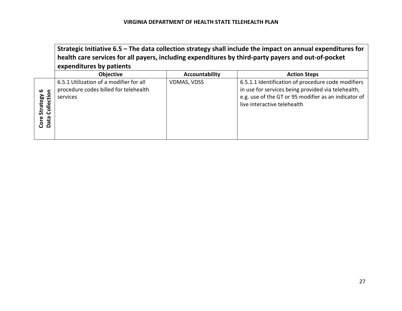|                                                 | health care services for all payers, including expenditures by third-party payers and out-of-pocket<br>expenditures by patients |                    | Strategic Initiative 6.5 - The data collection strategy shall include the impact on annual expenditures for                                                                                     |
|-------------------------------------------------|---------------------------------------------------------------------------------------------------------------------------------|--------------------|-------------------------------------------------------------------------------------------------------------------------------------------------------------------------------------------------|
|                                                 | <b>Objective</b>                                                                                                                | Accountability     | <b>Action Steps</b>                                                                                                                                                                             |
| ഥ<br>c<br>Collectio<br>Strategy<br>Data<br>Core | 6.5.1 Utilization of a modifier for all<br>procedure codes billed for telehealth<br>services                                    | <b>VDMAS, VDSS</b> | 6.5.1.1 Identification of procedure code modifiers<br>in use for services being provided via telehealth,<br>e.g. use of the GT or 95 modifier as an indicator of<br>live interactive telehealth |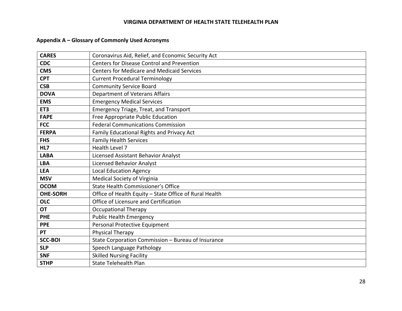# **Appendix A – Glossary of Commonly Used Acronyms**

| <b>CARES</b>    | Coronavirus Aid, Relief, and Economic Security Act     |  |
|-----------------|--------------------------------------------------------|--|
| <b>CDC</b>      | <b>Centers for Disease Control and Prevention</b>      |  |
| <b>CMS</b>      | <b>Centers for Medicare and Medicaid Services</b>      |  |
| <b>CPT</b>      | <b>Current Procedural Terminology</b>                  |  |
| <b>CSB</b>      | <b>Community Service Board</b>                         |  |
| <b>DOVA</b>     | Department of Veterans Affairs                         |  |
| <b>EMS</b>      | <b>Emergency Medical Services</b>                      |  |
| ET <sub>3</sub> | <b>Emergency Triage, Treat, and Transport</b>          |  |
| <b>FAPE</b>     | Free Appropriate Public Education                      |  |
| <b>FCC</b>      | <b>Federal Communications Commission</b>               |  |
| <b>FERPA</b>    | Family Educational Rights and Privacy Act              |  |
| <b>FHS</b>      | <b>Family Health Services</b>                          |  |
| HL7             | Health Level 7                                         |  |
| <b>LABA</b>     | Licensed Assistant Behavior Analyst                    |  |
| <b>LBA</b>      | <b>Licensed Behavior Analyst</b>                       |  |
| <b>LEA</b>      | <b>Local Education Agency</b>                          |  |
| <b>MSV</b>      | Medical Society of Virginia                            |  |
| <b>OCOM</b>     | State Health Commissioner's Office                     |  |
| <b>OHE-SORH</b> | Office of Health Equity - State Office of Rural Health |  |
| <b>OLC</b>      | Office of Licensure and Certification                  |  |
| <b>OT</b>       | <b>Occupational Therapy</b>                            |  |
| <b>PHE</b>      | <b>Public Health Emergency</b>                         |  |
| <b>PPE</b>      | Personal Protective Equipment                          |  |
| PT              | <b>Physical Therapy</b>                                |  |
| <b>SCC-BOI</b>  | State Corporation Commission - Bureau of Insurance     |  |
| <b>SLP</b>      | Speech Language Pathology                              |  |
| <b>SNF</b>      | <b>Skilled Nursing Facility</b>                        |  |
| <b>STHP</b>     | <b>State Telehealth Plan</b>                           |  |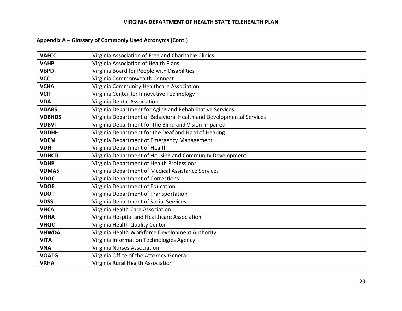# **Appendix A – Glossary of Commonly Used Acronyms (Cont.)**

| <b>VAFCC</b>  | Virginia Association of Free and Charitable Clinics                 |  |
|---------------|---------------------------------------------------------------------|--|
| <b>VAHP</b>   | Virginia Association of Health Plans                                |  |
| <b>VBPD</b>   | Virginia Board for People with Disabilities                         |  |
| <b>VCC</b>    | Virginia Commonwealth Connect                                       |  |
| <b>VCHA</b>   | Virginia Community Healthcare Association                           |  |
| <b>VCIT</b>   | Virginia Center for Innovative Technology                           |  |
| <b>VDA</b>    | Virginia Dental Association                                         |  |
| <b>VDARS</b>  | Virginia Department for Aging and Rehabilitative Services           |  |
| <b>VDBHDS</b> | Virginia Department of Behavioral Health and Developmental Services |  |
| <b>VDBVI</b>  | Virginia Department for the Blind and Vision Impaired               |  |
| <b>VDDHH</b>  | Virginia Department for the Deaf and Hard of Hearing                |  |
| <b>VDEM</b>   | Virginia Department of Emergency Management                         |  |
| <b>VDH</b>    | Virginia Department of Health                                       |  |
| <b>VDHCD</b>  | Virginia Department of Housing and Community Development            |  |
| <b>VDHP</b>   | Virginia Department of Health Professions                           |  |
| <b>VDMAS</b>  | Virginia Department of Medical Assistance Services                  |  |
| <b>VDOC</b>   | Virginia Department of Corrections                                  |  |
| <b>VDOE</b>   | Virginia Department of Education                                    |  |
| <b>VDOT</b>   | Virginia Department of Transportation                               |  |
| <b>VDSS</b>   | Virginia Department of Social Services                              |  |
| <b>VHCA</b>   | Virginia Health Care Association                                    |  |
| <b>VHHA</b>   | Virginia Hospital and Healthcare Association                        |  |
| <b>VHQC</b>   | Virginia Health Quality Center                                      |  |
| <b>VHWDA</b>  | Virginia Health Workforce Development Authority                     |  |
| <b>VITA</b>   | Virginia Information Technologies Agency                            |  |
| <b>VNA</b>    | Virginia Nurses Association                                         |  |
| <b>VOATG</b>  | Virginia Office of the Attorney General                             |  |
| <b>VRHA</b>   | Virginia Rural Health Association                                   |  |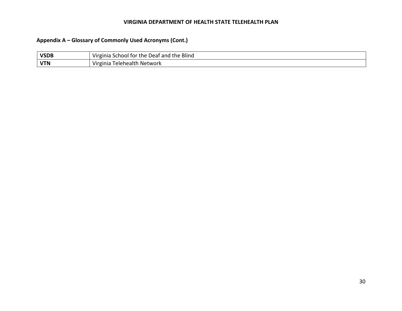# **Appendix A – Glossary of Commonly Used Acronyms (Cont.)**

| <b>VSDB</b> | <b>Blind</b><br>$\cdots$<br>the<br>Virginia<br><b>-10</b><br>tor<br>`the i<br>Deaf and<br>ומסר<br>эu |
|-------------|------------------------------------------------------------------------------------------------------|
| <b>VTN</b>  | . .<br>. relehealth<br>Network<br>Virginia                                                           |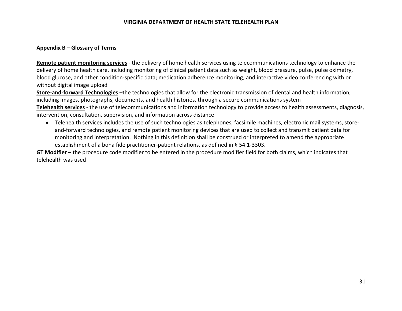#### **Appendix B – Glossary of Terms**

**Remote patient monitoring services** ‐ the delivery of home health services using telecommunications technology to enhance the delivery of home health care, including monitoring of clinical patient data such as weight, blood pressure, pulse, pulse oximetry, blood glucose, and other condition‐specific data; medication adherence monitoring; and interactive video conferencing with or without digital image upload

**Store‐and‐forward Technologies** –the technologies that allow for the electronic transmission of dental and health information, including images, photographs, documents, and health histories, through a secure communications system **Telehealth services** ‐ the use of telecommunications and information technology to provide access to health assessments, diagnosis, intervention, consultation, supervision, and information across distance

● Telehealth services includes the use of such technologies as telephones, facsimile machines, electronic mail systems, storeand‐forward technologies, and remote patient monitoring devices that are used to collect and transmit patient data for monitoring and interpretation. Nothing in this definition shall be construed or interpreted to amend the appropriate establishment of a bona fide practitioner-patient relations, as defined in § 54.1-3303.

**GT Modifier** – the procedure code modifier to be entered in the procedure modifier field for both claims, which indicates that telehealth was used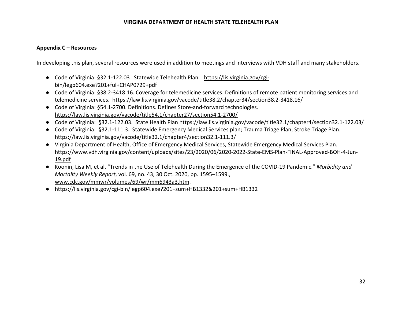#### **Appendix C – Resources**

In developing this plan, several resources were used in addition to meetings and interviews with VDH staff and many stakeholders.

- Code of Virginia: §32.1-122.03 Statewide Telehealth Plan. https://lis.virginia.gov/cgibin/legp604.exe?201+ful+CHAP0729+pdf
- Code of Virginia: §38.2-3418.16. Coverage for telemedicine services. Definitions of remote patient monitoring services and telemedicine services. https://law.lis.virginia.gov/vacode/title38.2/chapter34/section38.2‐3418.16/
- Code of Virginia: §54.1-2700. Definitions. Defines Store-and-forward technologies. https://law.lis.virginia.gov/vacode/title54.1/chapter27/section54.1‐2700/
- Code of Virginia: §32.1-122.03. State Health Plan https://law.lis.virginia.gov/vacode/title32.1/chapter4/section32.1-122.03/
- Code of Virginia: §32.1‐111.3. Statewide Emergency Medical Services plan; Trauma Triage Plan; Stroke Triage Plan. https://law.lis.virginia.gov/vacode/title32.1/chapter4/section32.1-111.3/
- Virginia Department of Health, Office of Emergency Medical Services, Statewide Emergency Medical Services Plan. https://www.vdh.virginia.gov/content/uploads/sites/23/2020/06/2020‐2022‐State‐EMS‐Plan‐FINAL‐Approved‐BOH‐4‐Jun‐ 19.pdf
- Koonin, Lisa M, et al. "Trends in the Use of Telehealth During the Emergence of the COVID‐19 Pandemic." *Morbidity and Mortality Weekly Report*, vol. 69, no. 43, 30 Oct. 2020, pp. 1595–1599., www.cdc.gov/mmwr/volumes/69/wr/mm6943a3.htm.
- https://lis.virginia.gov/cgi‐bin/legp604.exe?201+sum+HB1332&201+sum+HB1332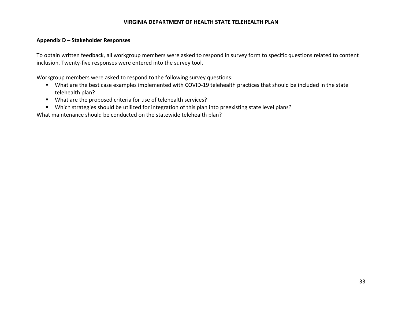#### **Appendix D – Stakeholder Responses**

To obtain written feedback, all workgroup members were asked to respond in survey form to specific questions related to content inclusion. Twenty‐five responses were entered into the survey tool.

Workgroup members were asked to respond to the following survey questions:

- What are the best case examples implemented with COVID-19 telehealth practices that should be included in the state telehealth plan?
- What are the proposed criteria for use of telehealth services?
- Which strategies should be utilized for integration of this plan into preexisting state level plans?

What maintenance should be conducted on the statewide telehealth plan?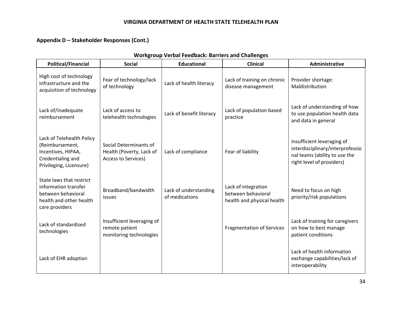# **Appendix D – Stakeholder Responses (Cont.)**

| <b>Political/Financial</b>                                                                                          | <b>Social</b>                                                                    | <b>Educational</b>                      | <b>Clinical</b>                                                         | Administrative                                                                                                               |
|---------------------------------------------------------------------------------------------------------------------|----------------------------------------------------------------------------------|-----------------------------------------|-------------------------------------------------------------------------|------------------------------------------------------------------------------------------------------------------------------|
| High cost of technology<br>infrastructure and the<br>acquisition of technology                                      | Fear of technology/lack<br>of technology                                         | Lack of health literacy                 | Lack of training on chronic<br>disease management                       | Provider shortage:<br>Maldistribution                                                                                        |
| Lack of/inadequate<br>reimbursement                                                                                 | Lack of access to<br>telehealth technologies                                     | Lack of benefit literacy                | Lack of population based<br>practice                                    | Lack of understanding of how<br>to use population health data<br>and data in general                                         |
| Lack of Telehealth Policy<br>(Reimbursement,<br>Incentives, HIPAA,<br>Credentialing and<br>Privileging, Licensure)  | Social Determinants of<br>Health (Poverty, Lack of<br><b>Access to Services)</b> | Lack of compliance                      | Fear of liability                                                       | Insufficient leveraging of<br>interdisciplinary/interprofessio<br>nal teams (ability to use the<br>right level of providers) |
| State laws that restrict<br>information transfer<br>between behavioral<br>health and other health<br>care providers | Broadband/bandwidth<br>issues                                                    | Lack of understanding<br>of medications | Lack of integration<br>between behavioral<br>health and physical health | Need to focus on high<br>priority/risk populations                                                                           |
| Lack of standardized<br>technologies                                                                                | Insufficient leveraging of<br>remote patient<br>monitoring technologies          |                                         | <b>Fragmentation of Services</b>                                        | Lack of training for caregivers<br>on how to best manage<br>patient conditions                                               |
| Lack of EHR adoption                                                                                                |                                                                                  |                                         |                                                                         | Lack of health information<br>exchange capabilities/lack of<br>interoperability                                              |

### **Workgroup Verbal Feedback: Barriers and Challenges**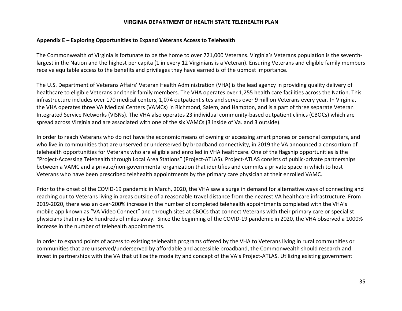#### **Appendix E – Exploring Opportunities to Expand Veterans Access to Telehealth**

The Commonwealth of Virginia is fortunate to be the home to over 721,000 Veterans. Virginia's Veterans population is the seventh‐ largest in the Nation and the highest per capita (1 in every 12 Virginians is a Veteran). Ensuring Veterans and eligible family members receive equitable access to the benefits and privileges they have earned is of the upmost importance.

The U.S. Department of Veterans Affairs' Veteran Health Administration (VHA) is the lead agency in providing quality delivery of healthcare to eligible Veterans and their family members. The VHA operates over 1,255 health care facilities across the Nation. This infrastructure includes over 170 medical centers, 1,074 outpatient sites and serves over 9 million Veterans every year. In Virginia, the VHA operates three VA Medical Centers (VAMCs) in Richmond, Salem, and Hampton, and is a part of three separate Veteran Integrated Service Networks (VISNs). The VHA also operates 23 individual community‐based outpatient clinics (CBOCs) which are spread across Virginia and are associated with one of the six VAMCs (3 inside of Va. and 3 outside).

In order to reach Veterans who do not have the economic means of owning or accessing smart phones or personal computers, and who live in communities that are unserved or underserved by broadband connectivity, in 2019 the VA announced a consortium of telehealth opportunities for Veterans who are eligible and enrolled in VHA healthcare. One of the flagship opportunities is the "Project‐Accessing Telehealth through Local Area Stations" (Project‐ATLAS). Project‐ATLAS consists of public‐private partnerships between a VAMC and a private/non‐governmental organization that identifies and commits a private space in which to host Veterans who have been prescribed telehealth appointments by the primary care physician at their enrolled VAMC.

Prior to the onset of the COVID‐19 pandemic in March, 2020, the VHA saw a surge in demand for alternative ways of connecting and reaching out to Veterans living in areas outside of a reasonable travel distance from the nearest VA healthcare infrastructure. From 2019‐2020, there was an over 200% increase in the number of completed telehealth appointments completed with the VHA's mobile app known as "VA Video Connect" and through sites at CBOCs that connect Veterans with their primary care or specialist physicians that may be hundreds of miles away. Since the beginning of the COVID‐19 pandemic in 2020, the VHA observed a 1000% increase in the number of telehealth appointments.

In order to expand points of access to existing telehealth programs offered by the VHA to Veterans living in rural communities or communities that are unserved/underserved by affordable and accessible broadband, the Commonwealth should research and invest in partnerships with the VA that utilize the modality and concept of the VA's Project‐ATLAS. Utilizing existing government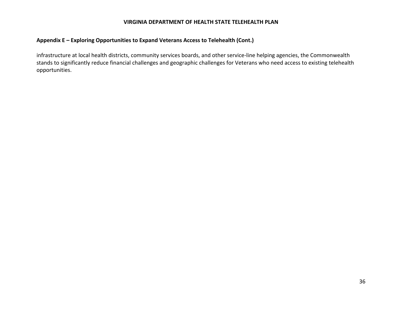## **Appendix E – Exploring Opportunities to Expand Veterans Access to Telehealth (Cont.)**

infrastructure at local health districts, community services boards, and other service-line helping agencies, the Commonwealth stands to significantly reduce financial challenges and geographic challenges for Veterans who need access to existing telehealth opportunities.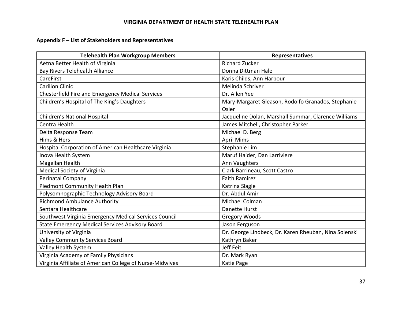# **Appendix F – List of Stakeholders and Representatives**

| <b>Telehealth Plan Workgroup Members</b>                 | <b>Representatives</b>                                |
|----------------------------------------------------------|-------------------------------------------------------|
| Aetna Better Health of Virginia                          | <b>Richard Zucker</b>                                 |
| <b>Bay Rivers Telehealth Alliance</b>                    | Donna Dittman Hale                                    |
| CareFirst                                                | Karis Childs, Ann Harbour                             |
| <b>Carilion Clinic</b>                                   | Melinda Schriver                                      |
| Chesterfield Fire and Emergency Medical Services         | Dr. Allen Yee                                         |
| Children's Hospital of The King's Daughters              | Mary-Margaret Gleason, Rodolfo Granados, Stephanie    |
|                                                          | Osler                                                 |
| Children's National Hospital                             | Jacqueline Dolan, Marshall Summar, Clarence Williams  |
| Centra Health                                            | James Mitchell, Christopher Parker                    |
| Delta Response Team                                      | Michael D. Berg                                       |
| Hims & Hers                                              | <b>April Mims</b>                                     |
| Hospital Corporation of American Healthcare Virginia     | Stephanie Lim                                         |
| Inova Health System                                      | Maruf Haider, Dan Larriviere                          |
| Magellan Health                                          | Ann Vaughters                                         |
| Medical Society of Virginia                              | Clark Barrineau, Scott Castro                         |
| Perinatal Company                                        | <b>Faith Ramirez</b>                                  |
| Piedmont Community Health Plan                           | Katrina Slagle                                        |
| Polysomnographic Technology Advisory Board               | Dr. Abdul Amir                                        |
| <b>Richmond Ambulance Authority</b>                      | Michael Colman                                        |
| Sentara Healthcare                                       | Danette Hurst                                         |
| Southwest Virginia Emergency Medical Services Council    | Gregory Woods                                         |
| State Emergency Medical Services Advisory Board          | Jason Ferguson                                        |
| University of Virginia                                   | Dr. George Lindbeck, Dr. Karen Rheuban, Nina Solenski |
| <b>Valley Community Services Board</b>                   | Kathryn Baker                                         |
| Valley Health System                                     | Jeff Feit                                             |
| Virginia Academy of Family Physicians                    | Dr. Mark Ryan                                         |
| Virginia Affiliate of American College of Nurse-Midwives | <b>Katie Page</b>                                     |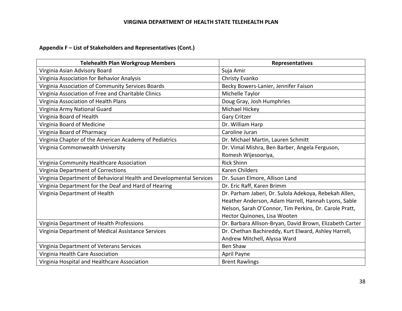## **Appendix F – List of Stakeholders and Representatives (Cont.)**

| <b>Telehealth Plan Workgroup Members</b>                            | Representatives                                          |
|---------------------------------------------------------------------|----------------------------------------------------------|
| Virginia Asian Advisory Board                                       | Suja Amir                                                |
| Virginia Association for Behavior Analysis                          | Christy Evanko                                           |
| Virginia Association of Community Services Boards                   | Becky Bowers-Lanier, Jennifer Faison                     |
| Virginia Association of Free and Charitable Clinics                 | Michelle Taylor                                          |
| Virginia Association of Health Plans                                | Doug Gray, Josh Humphries                                |
| Virginia Army National Guard                                        | Michael Hickey                                           |
| Virginia Board of Health                                            | <b>Gary Critzer</b>                                      |
| Virginia Board of Medicine                                          | Dr. William Harp                                         |
| Virginia Board of Pharmacy                                          | Caroline Juran                                           |
| Virginia Chapter of the American Academy of Pediatrics              | Dr. Michael Martin, Lauren Schmitt                       |
| Virginia Commonwealth University                                    | Dr. Vimal Mishra, Ben Barber, Angela Ferguson,           |
|                                                                     | Romesh Wijesooriya,                                      |
| Virginia Community Healthcare Association                           | <b>Rick Shinn</b>                                        |
| Virginia Department of Corrections                                  | <b>Karen Childers</b>                                    |
| Virginia Department of Behavioral Health and Developmental Services | Dr. Susan Elmore, Allison Land                           |
| Virginia Department for the Deaf and Hard of Hearing                | Dr. Eric Raff, Karen Brimm                               |
| Virginia Department of Health                                       | Dr. Parham Jaberi, Dr. Sulola Adekoya, Rebekah Allen,    |
|                                                                     | Heather Anderson, Adam Harrell, Hannah Lyons, Sable      |
|                                                                     | Nelson, Sarah O'Connor, Tim Perkins, Dr. Carole Pratt,   |
|                                                                     | Hector Quinones, Lisa Wooten                             |
| Virginia Department of Health Professions                           | Dr. Barbara Allison-Bryan, David Brown, Elizabeth Carter |
| Virginia Department of Medical Assistance Services                  | Dr. Chethan Bachireddy, Kurt Elward, Ashley Harrell,     |
|                                                                     | Andrew Mitchell, Alyssa Ward                             |
| Virginia Department of Veterans Services                            | Ben Shaw                                                 |
| Virginia Health Care Association                                    | April Payne                                              |
| Virginia Hospital and Healthcare Association                        | <b>Brent Rawlings</b>                                    |